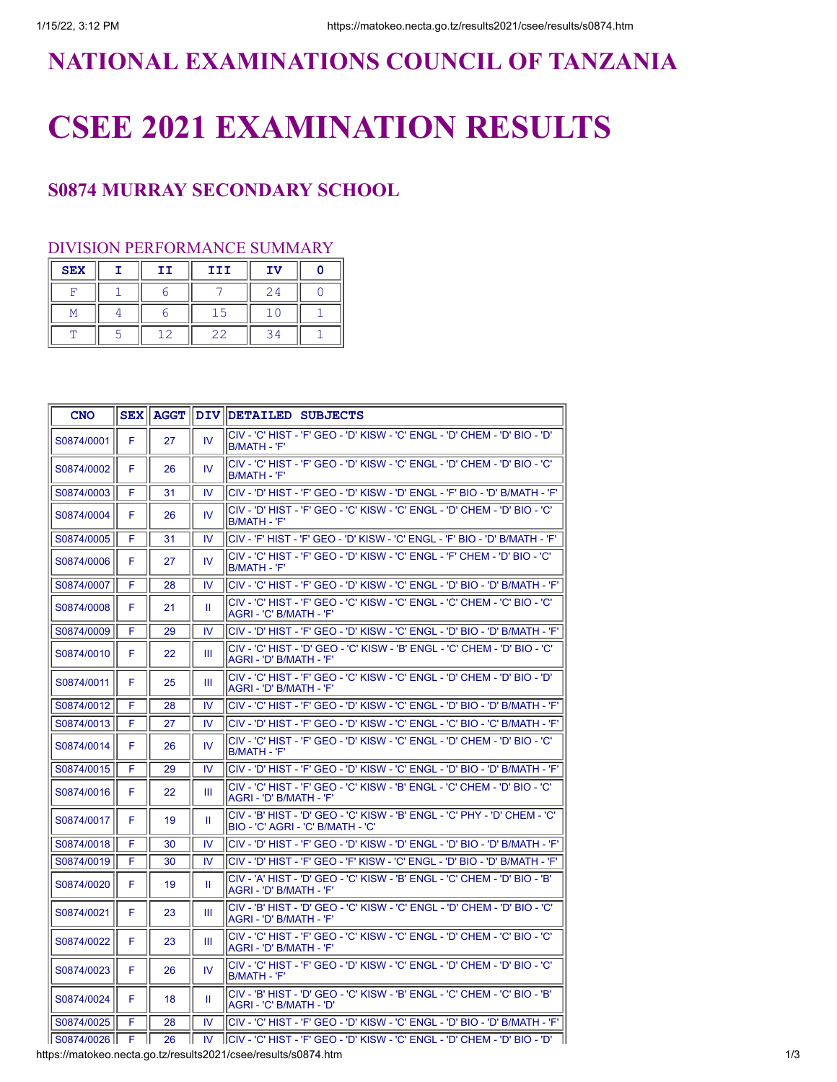## **NATIONAL EXAMINATIONS COUNCIL OF TANZANIA**

# **CSEE 2021 EXAMINATION RESULTS**

### **S0874 MURRAY SECONDARY SCHOOL**

### DIVISION PERFORMANCE SUMMARY

| <b>SEX</b> | II | III | IV |  |
|------------|----|-----|----|--|
|            |    |     | 24 |  |
|            |    |     |    |  |
|            |    | 22  |    |  |

| <b>CNO</b>      | <b>SEX</b> |    |     | AGGT    DIV   DETAILED SUBJECTS                                                                                   |
|-----------------|------------|----|-----|-------------------------------------------------------------------------------------------------------------------|
| S0874/0001      | F          | 27 | IV. | ICIV - 'C' HIST - 'F' GEO - 'D' KISW - 'C' ENGL - 'D' CHEM - 'D' BIO - 'D'<br>IB/MATH - 'F'                       |
| S0874/0002      | F          | 26 | IV  | 'CIV - 'C' HIST - 'F' GEO - 'D' KISW - 'C' ENGL - 'D' CHEM - 'D' BIO - 'C<br>IB/MATH - 'F'                        |
| S0874/0003      | F          | 31 | IV  | ICIV - 'D' HIST - 'F' GEO - 'D' KISW - 'D' ENGL - 'F' BIO - 'D' B/MATH - 'F'                                      |
| S0874/0004      | F          | 26 | IV. | ICIV - 'D' HIST - 'F' GEO - 'C' KISW - 'C' ENGL - 'D' CHEM - 'D' BIO - 'C'<br>IB/MATH - 'F'                       |
| S0874/0005      | F          | 31 | IV  | ICIV - 'F' HIST - 'F' GEO - 'D' KISW - 'C' ENGL - 'F' BIO - 'D' B/MATH - 'F'                                      |
| S0874/0006      | F          | 27 | IV  | 'CIV - 'C' HIST - 'F' GEO - 'D' KISW - 'C' ENGL - 'F' CHEM - 'D' BIO - 'C<br>IB/MATH - 'F'                        |
| S0874/0007      | F          | 28 | IV  | 'CIV - 'C' HIST - 'F' GEO - 'D' KISW - 'C' ENGL - 'D' BIO - 'D' B/MATH - 'F                                       |
| S0874/0008      | F          | 21 | Ш   | CIV - 'C' HIST - 'F' GEO - 'C' KISW - 'C' ENGL - 'C' CHEM - 'C' BIO - 'C'<br>AGRI - 'C' B/MATH - 'F'              |
| S0874/0009      | F          | 29 | IV. | lCIV - 'D' HIST - 'F' GEO - 'D' KISW - 'C' ENGL - 'D' BIO - 'D' B/MATH - 'F'                                      |
| S0874/0010      | F          | 22 | Ш   | lCIV - 'C' HIST - 'D' GEO - 'C' KISW - 'B' ENGL - 'C' CHEM - 'D' BIO - 'C'<br>AGRI - 'D' B/MATH - 'F'             |
| S0874/0011      | F          | 25 | Ш   | 'CIV - 'C' HIST - 'F' GEO - 'C' KISW - 'C' ENGL - 'D' CHEM - 'D' BIO - 'D<br>IAGRI - 'D' B/MATH - 'F'             |
| S0874/0012      | F          | 28 | IV  | lCIV - 'C' HIST - 'F' GEO - 'D' KISW - 'C' ENGL - 'D' BIO - 'D' B/MATH - 'F'                                      |
| S0874/0013      | F          | 27 | IV  | CIV - 'D' HIST - 'F' GEO - 'D' KISW - 'C' ENGL - 'C' BIO - 'C' В/МАТН - 'F'                                       |
| S0874/0014      | F          | 26 | IV. | ICIV - 'C' HIST - 'F' GEO - 'D' KISW - 'C' ENGL - 'D' CHEM - 'D' BIO - 'C'<br>B/MATH - 'F'                        |
| S0874/0015      | F          | 29 | IV  | lCIV - 'D' HIST - 'F' GEO - 'D' KISW - 'C' ENGL - 'D' BIO - 'D' B/MATH - 'F' .                                    |
| S0874/0016      | F          | 22 | Ш   | lCIV - 'C' HIST - 'F' GEO - 'C' KISW - 'B' ENGL - 'C' CHEM - 'D' BIO - 'C'<br>AGRI - 'D' B/MATH - 'F'             |
| S0874/0017      | F          | 19 | Ш   | CIV - 'B' HIST - 'D' GEO - 'C' KISW - 'B' ENGL - 'C' PHY - 'D' CHEM - 'C'<br>BIO - 'C' AGRI - 'C' B/MATH - 'C'    |
| S0874/0018      | F          | 30 | IV  | (CIV - 'D' HIST - 'F' GEO - 'D' KISW - 'D' ENGL - 'D' BIO - 'D' B/MATH - 'F'                                      |
| S0874/0019      | F          | 30 | IV  | CIV - 'D' HIST - 'F' GEO - 'F' KISW - 'C' ENGL - 'D' BIO - 'D' B/MATH - 'F'                                       |
| S0874/0020      | F          | 19 | Ш   | 'CIV - 'A' HIST - 'D' GEO - 'C' KISW - 'B' ENGL - 'C' CHEM - 'D' BIO - 'B<br>IAGRI - 'D' B/MATH - 'F'             |
| S0874/0021      | F          | 23 | Ш   | 'CIV - 'B' HIST - 'D' GEO - 'C' KISW - 'C' ENGL - 'D' CHEM - 'D' BIO - 'C<br>AGRI - 'D' B/MATH - 'F'              |
| S0874/0022      | F          | 23 | Ш   | <sup>I</sup> CIV - 'C' HIST - 'F' GEO - 'C' KISW - 'C' ENGL - 'D' CHEM - 'C' BIO - 'C'<br>AGRI - 'D' B/MATH - 'F' |
| S0874/0023      | F          | 26 | IV. | 'CIV - 'C' HIST - 'F' GEO - 'D' KISW - 'C' ENGL - 'D' CHEM - 'D' BIO - 'C<br>IB/MATH - 'F'                        |
| S0874/0024      | F          | 18 | Ш   | lCIV - 'B' HIST - 'D' GEO - 'C' KISW - 'B' ENGL - 'C' CHEM - 'C' BIO - 'B'<br>AGRI - 'C' B/MATH - 'D'             |
| S0874/0025      | F          | 28 | IV  | lCIV - 'C' HIST - 'F' GEO - 'D' KISW - 'C' ENGL - 'D' BIO - 'D' B/MATH - 'F'                                      |
| S0874/0026    F |            | 26 |     | IV   CIV - 'C' HIST - 'F' GEO - 'D' KISW - 'C' ENGL - 'D' CHEM - 'D' BIO - 'D'                                    |

https://matokeo.necta.go.tz/results2021/csee/results/s0874.htm 1/3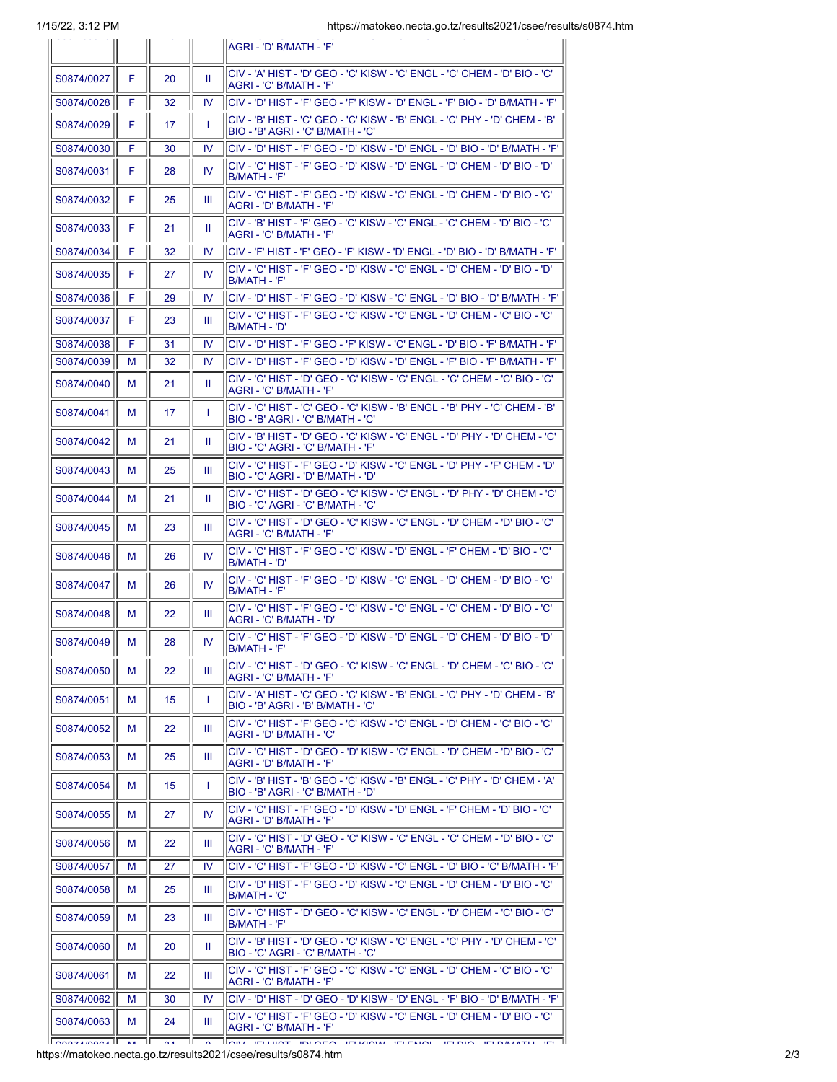|            |    |                  |    | IAGRI - 'D' B/MATH - 'F'                                                                                           |
|------------|----|------------------|----|--------------------------------------------------------------------------------------------------------------------|
| S0874/0027 | F. | 20               | H. | 'CIV - 'A' HIST - 'D' GEO - 'C' KISW - 'C' ENGL - 'C' CHEM - 'D' BIO - 'C<br> AGRI - 'C' B/MATH - 'F'              |
| S0874/0028 | F  | 32               | IV | <sup>I</sup> CIV - 'D' HIST - 'F' GEO - 'F' KISW - 'D' ENGL - 'F' BIO - 'D' B/MATH - 'F'                           |
| S0874/0029 | F  | 17               | T  | CIV - 'B' HIST - 'C' GEO - 'C' KISW - 'B' ENGL - 'C' PHY - 'D' СНЕМ - 'B'<br>IBIO - 'B' AGRI - 'C' B/MATH - 'C'    |
| S0874/0030 | F  | 30               | IV | 'F' CIV - 'D' HIST - 'F' GEO - 'D' KISW - 'D' ENGL - 'D' BIO - 'D' B/MATH - 'F                                     |
| S0874/0031 | F  | 28               | IV | 'CIV - 'C' HIST - 'F' GEO - 'D' KISW - 'D' ENGL - 'D' CHEM - 'D' BIO - 'D<br> B/MATH - 'F'                         |
| S0874/0032 | F  | 25               | Ш  | 'CIV - 'C' HIST - 'F' GEO - 'D' KISW - 'C' ENGL - 'D' CHEM - 'D' BIO - 'C<br>AGRI - 'D' B/MATH - 'F'               |
| S0874/0033 | F  | 21               | Ш  | CIV - 'B' HIST - 'F' GEO - 'C' KISW - 'C' ENGL - 'C' CHEM - 'D' BIO - 'C'<br> AGRI - 'C' B/MATH - 'F'              |
| S0874/0034 | F  | 32               | IV | 'CIV - 'F' HIST - 'F' GEO - 'F' KISW - 'D' ENGL - 'D' BIO - 'D' B/MATH - 'F                                        |
| S0874/0035 | F. | 27               | IV | 'CIV - 'C' HIST - 'F' GEO - 'D' KISW - 'C' ENGL - 'D' CHEM - 'D' BIO - 'D<br>IB/MATH - 'F'                         |
| S0874/0036 | F  | 29               | IV | (CIV - 'D' HIST - 'F' GEO - 'D' KISW - 'C' ENGL - 'D' BIO - 'D' B/MATH - 'F'                                       |
| S0874/0037 | F. | 23               | Ш  | 'CIV - 'C' HIST - 'F' GEO - 'C' KISW - 'C' ENGL - 'D' CHEM - 'C' BIO - 'C'<br>IB/MATH - 'D'                        |
| S0874/0038 | F  | 31               | IV | lCIV - 'D' HIST - 'F' GEO - 'F' KISW - 'C' ENGL - 'D' BIO - 'F' B/MATH - 'F'                                       |
| S0874/0039 | м  | 32               | IV | ICIV - 'D' HIST - 'F' GEO - 'D' KISW - 'D' ENGL - 'F' BIO - 'F' B/MATH - 'F'                                       |
| S0874/0040 | м  | 21               | Ш  | CIV - 'C' HIST - 'D' GEO - 'C' KISW - 'C' ENGL - 'C' CHEM - 'C' BIO - 'C'<br> AGRI - 'C' B/MATH - 'F'              |
| S0874/0041 | м  | 17               | T  | CIV - 'C' HIST - 'C' GEO - 'C' KISW - 'B' ENGL - 'B' PHY - 'C' CHEM - 'B'<br>BIO - 'B' AGRI - 'C' B/MATH - 'C'     |
| S0874/0042 | м  | 21               | H. | 'CIV - 'B' HIST - 'D' GEO - 'C' KISW - 'C' ENGL - 'D' PHY - 'D' CHEM - 'C<br>BIO - 'C' AGRI - 'C' B/MATH - 'F'     |
| S0874/0043 | м  | 25               | Ш  | 'CIV - 'C' HIST - 'F' GEO - 'D' KISW - 'C' ENGL - 'D' PHY - 'F' CHEM - 'D<br>BIO - 'C' AGRI - 'D' B/MATH - 'D'     |
| S0874/0044 | м  | 21               | Ш  | ICIV - 'C' HIST - 'D' GEO - 'C' KISW - 'C' ENGL - 'D' PHY - 'D' CHEM - 'C'<br>BIO - 'C' AGRI - 'C' B/MATH - 'C'    |
| S0874/0045 | м  | 23               | Ш  | 'CIV - 'C' HIST - 'D' GEO - 'C' KISW - 'C' ENGL - 'D' CHEM - 'D' BIO - 'C<br>AGRI - 'C' B/MATH - 'F'               |
| S0874/0046 | м  | 26               | IV | 'CIV - 'C' HIST - 'F' GEO - 'C' KISW - 'D' ENGL - 'F' CHEM - 'D' BIO - 'C<br><b>B/MATH - 'D'</b>                   |
| S0874/0047 | м  | 26               | IV | 'CIV - 'C' HIST - 'F' GEO - 'D' KISW - 'C' ENGL - 'D' CHEM - 'D' BIO - 'C<br>IB/MATH - 'F'                         |
| S0874/0048 | м  | 22               | Ш  | 'CIV - 'C' HIST - 'F' GEO - 'C' KISW - 'C' ENGL - 'C' CHEM - 'D' BIO - 'C<br>'AGRI - 'C' B/MATH - 'D               |
| S0874/0049 | м  | 28               | IV | 'ס' - O' HIST - 'F' GEO - 'D' KISW - 'D' ENGL - 'D' CHEM - 'D' BIO - 'D<br> B/MATH - 'F'                           |
| S0874/0050 | м  | 22               | Ш  | 'CIV - 'C' HIST - 'D' GEO - 'C' KISW - 'C' ENGL - 'D' CHEM - 'C' BIO - 'C'<br> AGRI - 'C' B/MATH - 'F'             |
| S0874/0051 | м  | 15 <sup>15</sup> | T. | CIV - 'А' HIST - 'С' GEO - 'С' KISW - 'В' ENGL - 'С' РНҮ - 'D' СНЕМ - 'В'<br>BIO - 'B' AGRI - 'B' B/MATH - 'C'     |
| S0874/0052 | м  | 22               | Ш  | CIV - 'C' HIST - 'F' GEO - 'C' KISW - 'C' ENGL - 'D' CHEM - 'C' BIO - 'C'<br>AGRI - 'D' B/MATH - 'C'               |
| S0874/0053 | м  | 25               | Ш  | 'CIV - 'C' HIST - 'D' GEO - 'D' KISW - 'C' ENGL - 'D' CHEM - 'D' BIO - 'C<br>AGRI - 'D' B/MATH - 'F'               |
| S0874/0054 | м  | 15               | T. | 'CIV - 'B' HIST - 'B' GEO - 'C' KISW - 'B' ENGL - 'C' PHY - 'D' CHEM - 'A'<br>BIO - 'B' AGRI - 'C' B/MATH - 'D'    |
| S0874/0055 | м  | 27               | IV | 'CIV - 'C' HIST - 'F' GEO - 'D' KISW - 'D' ENGL - 'F' CHEM - 'D' BIO - 'C<br>AGRI - 'D' B/MATH - 'F'               |
| S0874/0056 | м  | 22               | Ш  | ICIV - 'C' HIST - 'D' GEO - 'C' KISW - 'C' ENGL - 'C' CHEM - 'D' BIO - 'C'<br> AGRI - 'C' B/MATH - 'F'             |
| S0874/0057 | M  | 27               | IV | ICIV - 'C' HIST - 'F' GEO - 'D' KISW - 'C' ENGL - 'D' BIO - 'C' B/MATH - 'F'                                       |
| S0874/0058 | М  | 25               | Ш  | 'CIV - 'D' HIST - 'F' GEO - 'D' KISW - 'C' ENGL - 'D' CHEM - 'D' BIO - 'C<br>IB/MATH - 'C'                         |
| S0874/0059 | М  | 23               | Ш  | <sup>I</sup> CIV - 'C' HIST - 'D' GEO - 'C' KISW - 'C' ENGL - 'D' CHEM - 'C' BIO - 'C'<br>IB/MATH - 'F'            |
| S0874/0060 | М  | 20               | Ш  | 'CIV - 'B' HIST - 'D' GEO - 'C' KISW - 'C' ENGL - 'C' PHY - 'D' CHEM - 'C'<br>BIO - 'C' AGRI - 'C' B/MATH - 'C'    |
| S0874/0061 | М  | 22               | Ш  | <sup>I</sup> CIV - 'C' HIST - 'F' GEO - 'C' KISW - 'C' ENGL - 'D' CHEM - 'C' BIO - 'C'<br> AGRI - 'C' B/MATH - 'F' |
| S0874/0062 | M  | 30               | IV | (CIV - 'D' HIST - 'D' GEO - 'D' KISW - 'D' ENGL - 'F' BIO - 'D' B/MATH - 'F'                                       |
| S0874/0063 | м  | 24               | Ш  | ICIV - 'C' HIST - 'F' GEO - 'D' KISW - 'C' ENGL - 'D' CHEM - 'D' BIO - 'C'<br>AGRI - 'C' B/MATH - 'F'              |